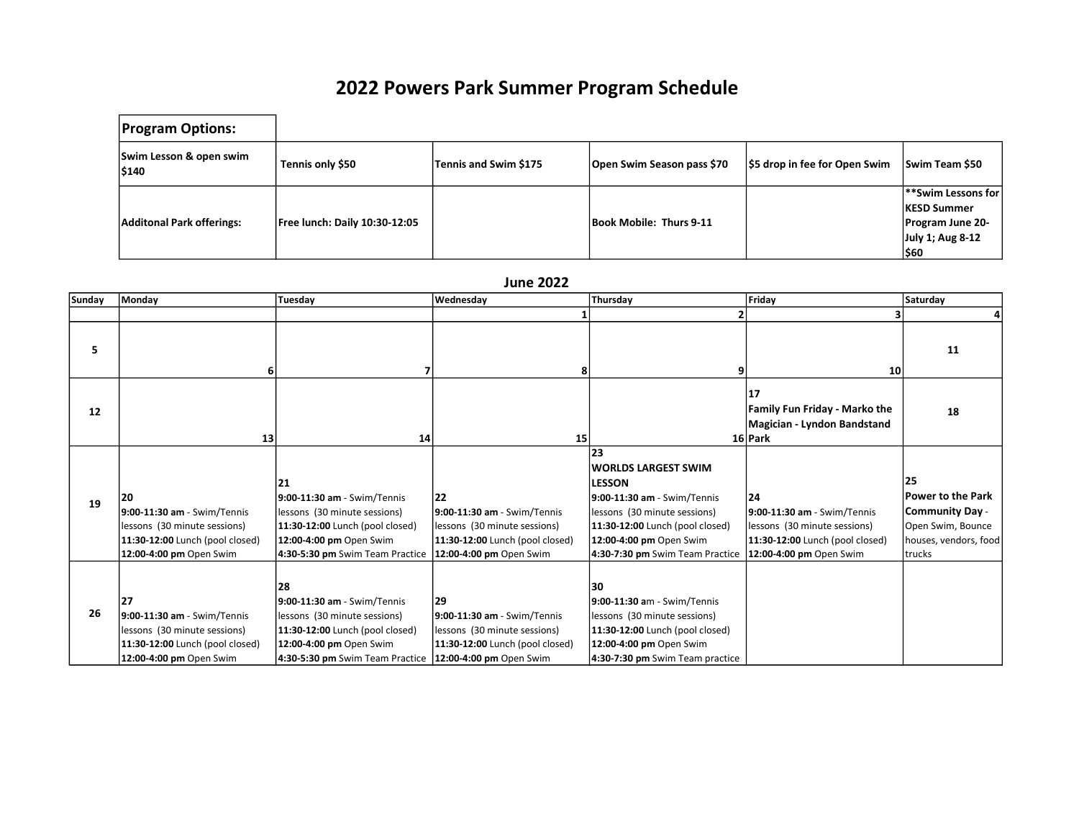## 2022 Powers Park Summer Program Schedule

| <b>Program Options:</b>          |                               |                       |                                |                              |                                                                                          |
|----------------------------------|-------------------------------|-----------------------|--------------------------------|------------------------------|------------------------------------------------------------------------------------------|
| Swim Lesson & open swim<br>\$140 | Tennis only \$50              | Tennis and Swim \$175 | Open Swim Season pass \$70     | S5 drop in fee for Open Swim | l Swim Team \$50                                                                         |
| Additonal Park offerings:        | Free lunch: Daily 10:30-12:05 |                       | <b>Book Mobile: Thurs 9-11</b> |                              | **Swim Lessons for<br> KESD Summer<br><b>Program June 20-</b><br>July 1; Aug 8-12<br>560 |

June 2022

| <b>Sunday</b> | Monday                                                                                                                          | Tuesday                                                                                                                                                            | Wednesday                                                                                                                       | Thursday                                                                                                                                                                                                          | Friday                                                                                                                          | Saturday                                                                                                   |
|---------------|---------------------------------------------------------------------------------------------------------------------------------|--------------------------------------------------------------------------------------------------------------------------------------------------------------------|---------------------------------------------------------------------------------------------------------------------------------|-------------------------------------------------------------------------------------------------------------------------------------------------------------------------------------------------------------------|---------------------------------------------------------------------------------------------------------------------------------|------------------------------------------------------------------------------------------------------------|
|               |                                                                                                                                 |                                                                                                                                                                    |                                                                                                                                 |                                                                                                                                                                                                                   |                                                                                                                                 |                                                                                                            |
| 5             | 6                                                                                                                               |                                                                                                                                                                    |                                                                                                                                 |                                                                                                                                                                                                                   | 10 <sup>1</sup>                                                                                                                 | 11                                                                                                         |
| 12            | 13                                                                                                                              | 14                                                                                                                                                                 | 15                                                                                                                              |                                                                                                                                                                                                                   | 17<br>Family Fun Friday - Marko the<br>Magician - Lyndon Bandstand<br>16 Park                                                   | 18                                                                                                         |
| 19            | 20<br>9:00-11:30 am - Swim/Tennis<br>lessons (30 minute sessions)<br>11:30-12:00 Lunch (pool closed)<br>12:00-4:00 pm Open Swim | 21<br>9:00-11:30 am - Swim/Tennis<br>lessons (30 minute sessions)<br>11:30-12:00 Lunch (pool closed)<br>12:00-4:00 pm Open Swim<br>4:30-5:30 pm Swim Team Practice | 22<br>9:00-11:30 am - Swim/Tennis<br>lessons (30 minute sessions)<br>11:30-12:00 Lunch (pool closed)<br>12:00-4:00 pm Open Swim | 23<br><b>WORLDS LARGEST SWIM</b><br><b>LESSON</b><br>9:00-11:30 am - Swim/Tennis<br>lessons (30 minute sessions)<br>11:30-12:00 Lunch (pool closed)<br>12:00-4:00 pm Open Swim<br>4:30-7:30 pm Swim Team Practice | 24<br>9:00-11:30 am - Swim/Tennis<br>lessons (30 minute sessions)<br>11:30-12:00 Lunch (pool closed)<br>12:00-4:00 pm Open Swim | 25<br>Power to the Park<br><b>Community Day -</b><br>Open Swim, Bounce<br>houses, vendors, food<br> trucks |
| 26            | 27<br>9:00-11:30 am - Swim/Tennis<br>lessons (30 minute sessions)<br>11:30-12:00 Lunch (pool closed)<br>12:00-4:00 pm Open Swim | 28<br>9:00-11:30 am - Swim/Tennis<br>lessons (30 minute sessions)<br>11:30-12:00 Lunch (pool closed)<br>12:00-4:00 pm Open Swim<br>4:30-5:30 pm Swim Team Practice | 29<br>9:00-11:30 am - Swim/Tennis<br>lessons (30 minute sessions)<br>11:30-12:00 Lunch (pool closed)<br>12:00-4:00 pm Open Swim | 30<br>9:00-11:30 am - Swim/Tennis<br>lessons (30 minute sessions)<br>11:30-12:00 Lunch (pool closed)<br>12:00-4:00 pm Open Swim<br>4:30-7:30 pm Swim Team practice                                                |                                                                                                                                 |                                                                                                            |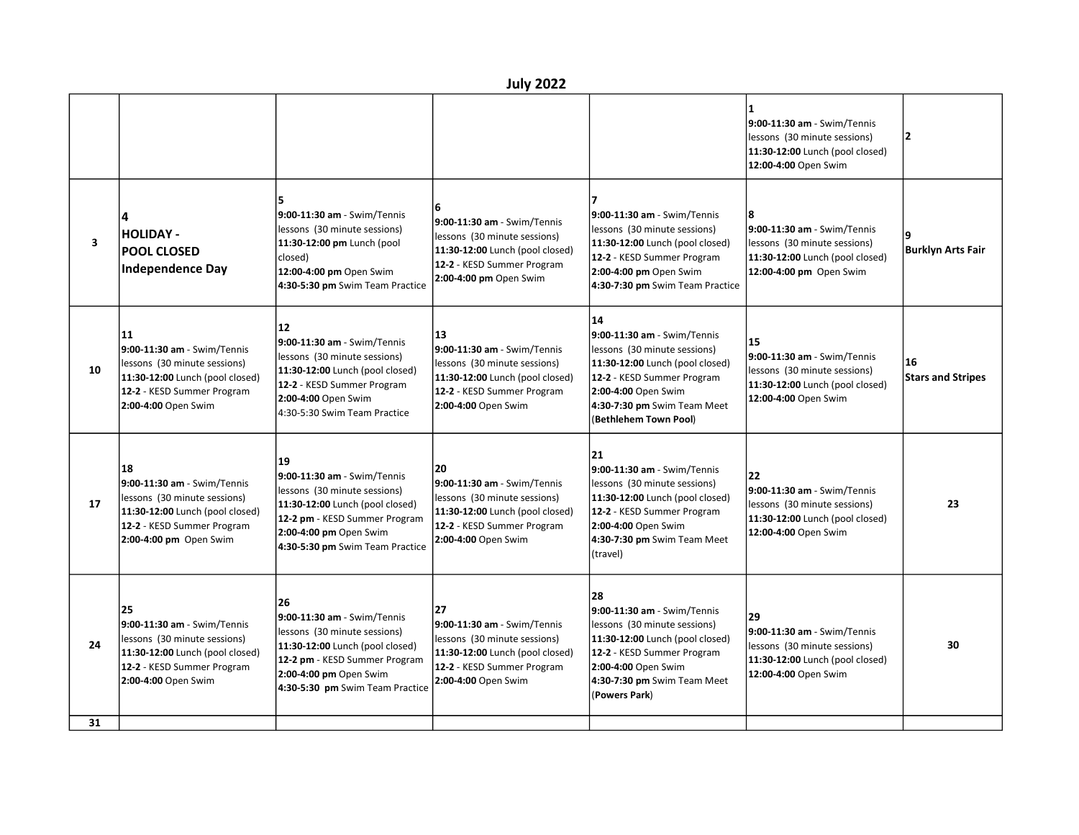| 2022<br>July |  |
|--------------|--|
|--------------|--|

| <b>JUIY ZUZZ</b> |                                                                                                                                                              |                                                                                                                                                                                                    |                                                                                                                                                           |                                                                                                                                                                                                                   |                                                                                                                                 |                                |
|------------------|--------------------------------------------------------------------------------------------------------------------------------------------------------------|----------------------------------------------------------------------------------------------------------------------------------------------------------------------------------------------------|-----------------------------------------------------------------------------------------------------------------------------------------------------------|-------------------------------------------------------------------------------------------------------------------------------------------------------------------------------------------------------------------|---------------------------------------------------------------------------------------------------------------------------------|--------------------------------|
|                  |                                                                                                                                                              |                                                                                                                                                                                                    |                                                                                                                                                           |                                                                                                                                                                                                                   | 9:00-11:30 am - Swim/Tennis<br>lessons (30 minute sessions)<br>11:30-12:00 Lunch (pool closed)<br>12:00-4:00 Open Swim          | 12                             |
| 3                | 4<br><b>HOLIDAY -</b><br><b>POOL CLOSED</b><br>Independence Day                                                                                              | 5<br>9:00-11:30 am - Swim/Tennis<br>lessons (30 minute sessions)<br>11:30-12:00 pm Lunch (pool<br>closed)<br>12:00-4:00 pm Open Swim<br>4:30-5:30 pm Swim Team Practice                            | 9:00-11:30 am - Swim/Tennis<br>lessons (30 minute sessions)<br>11:30-12:00 Lunch (pool closed)<br>12-2 - KESD Summer Program<br>2:00-4:00 pm Open Swim    | 9:00-11:30 am - Swim/Tennis<br>lessons (30 minute sessions)<br>11:30-12:00 Lunch (pool closed)<br>12-2 - KESD Summer Program<br>2:00-4:00 pm Open Swim<br>4:30-7:30 pm Swim Team Practice                         | 18<br>9:00-11:30 am - Swim/Tennis<br>lessons (30 minute sessions)<br>11:30-12:00 Lunch (pool closed)<br>12:00-4:00 pm Open Swim | <b>Burklyn Arts Fair</b>       |
| 10               | 11<br>9:00-11:30 am - Swim/Tennis<br>lessons (30 minute sessions)<br>11:30-12:00 Lunch (pool closed)<br>12-2 - KESD Summer Program<br>2:00-4:00 Open Swim    | 12<br>9:00-11:30 am - Swim/Tennis<br>lessons (30 minute sessions)<br>11:30-12:00 Lunch (pool closed)<br>12-2 - KESD Summer Program<br>2:00-4:00 Open Swim<br>4:30-5:30 Swim Team Practice          | 13<br>9:00-11:30 am - Swim/Tennis<br>lessons (30 minute sessions)<br>11:30-12:00 Lunch (pool closed)<br>12-2 - KESD Summer Program<br>2:00-4:00 Open Swim | 14<br>9:00-11:30 am - Swim/Tennis<br>lessons (30 minute sessions)<br>11:30-12:00 Lunch (pool closed)<br>12-2 - KESD Summer Program<br>2:00-4:00 Open Swim<br>4:30-7:30 pm Swim Team Meet<br>(Bethlehem Town Pool) | 15<br>9:00-11:30 am - Swim/Tennis<br>lessons (30 minute sessions)<br>11:30-12:00 Lunch (pool closed)<br>12:00-4:00 Open Swim    | 16<br><b>Stars and Stripes</b> |
| 17               | 18<br>9:00-11:30 am - Swim/Tennis<br>lessons (30 minute sessions)<br>11:30-12:00 Lunch (pool closed)<br>12-2 - KESD Summer Program<br>2:00-4:00 pm Open Swim | 19<br>9:00-11:30 am - Swim/Tennis<br>lessons (30 minute sessions)<br>11:30-12:00 Lunch (pool closed)<br>12-2 pm - KESD Summer Program<br>2:00-4:00 pm Open Swim<br>4:30-5:30 pm Swim Team Practice | 20<br>9:00-11:30 am - Swim/Tennis<br>lessons (30 minute sessions)<br>11:30-12:00 Lunch (pool closed)<br>12-2 - KESD Summer Program<br>2:00-4:00 Open Swim | 21<br>9:00-11:30 am - Swim/Tennis<br>lessons (30 minute sessions)<br>11:30-12:00 Lunch (pool closed)<br>12-2 - KESD Summer Program<br>2:00-4:00 Open Swim<br>4:30-7:30 pm Swim Team Meet<br>(travel)              | 22<br>9:00-11:30 am - Swim/Tennis<br>lessons (30 minute sessions)<br>11:30-12:00 Lunch (pool closed)<br>12:00-4:00 Open Swim    | 23                             |
| 24               | 25<br>9:00-11:30 am - Swim/Tennis<br>lessons (30 minute sessions)<br>11:30-12:00 Lunch (pool closed)<br>12-2 - KESD Summer Program<br>2:00-4:00 Open Swim    | 26<br>9:00-11:30 am - Swim/Tennis<br>lessons (30 minute sessions)<br>11:30-12:00 Lunch (pool closed)<br>12-2 pm - KESD Summer Program<br>2:00-4:00 pm Open Swim<br>4:30-5:30 pm Swim Team Practice | 27<br>9:00-11:30 am - Swim/Tennis<br>lessons (30 minute sessions)<br>11:30-12:00 Lunch (pool closed)<br>12-2 - KESD Summer Program<br>2:00-4:00 Open Swim | 28<br>9:00-11:30 am - Swim/Tennis<br>lessons (30 minute sessions)<br>11:30-12:00 Lunch (pool closed)<br>12-2 - KESD Summer Program<br>2:00-4:00 Open Swim<br>4:30-7:30 pm Swim Team Meet<br>(Powers Park)         | 29<br>9:00-11:30 am - Swim/Tennis<br>lessons (30 minute sessions)<br>11:30-12:00 Lunch (pool closed)<br>12:00-4:00 Open Swim    | 30                             |
| 31               |                                                                                                                                                              |                                                                                                                                                                                                    |                                                                                                                                                           |                                                                                                                                                                                                                   |                                                                                                                                 |                                |